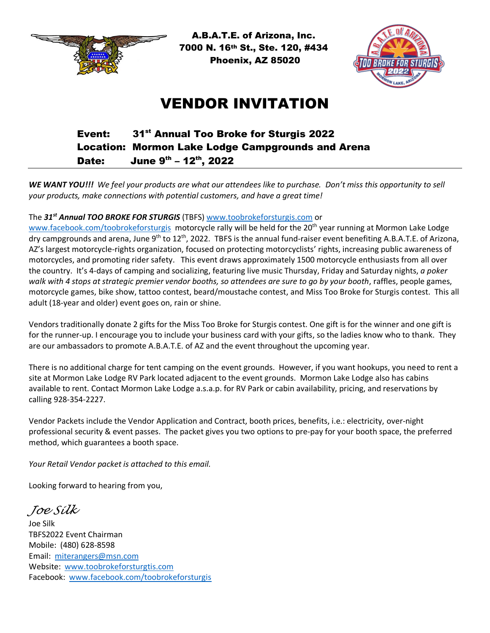

 A.B.A.T.E. of Arizona, Inc. 7000 N. 16th St., Ste. 120, #434 Phoenix, AZ 85020



# VENDOR INVITATION

#### Event: 31<sup>st</sup> Annual Too Broke for Sturgis 2022 Location: Mormon Lake Lodge Campgrounds and Arena Date: June 9<sup>th</sup> – 12<sup>th</sup>, 2022

*WE WANT YOU!!! We feel your products are what our attendees like to purchase. Don't miss this opportunity to sell your products, make connections with potential customers, and have a great time!*

#### The *31 st Annual TOO BROKE FOR STURGIS* (TBFS) [www.toobrokeforsturgis.com](http://www.toobrokeforsturgis.com/) or

[www.facebook.com/toobrokeforsturgis](http://www.facebook.com/toobrokeforsturgis) motorcycle rally will be held for the 20<sup>th</sup> year running at Mormon Lake Lodge dry campgrounds and arena, June 9<sup>th</sup> to 12<sup>th</sup>, 2022. TBFS is the annual fund-raiser event benefiting A.B.A.T.E. of Arizona, AZ's largest motorcycle-rights organization, focused on protecting motorcyclists' rights, increasing public awareness of motorcycles, and promoting rider safety. This event draws approximately 1500 motorcycle enthusiasts from all over the country. It's 4-days of camping and socializing, featuring live music Thursday, Friday and Saturday nights, *a poker walk with 4 stops at strategic premier vendor booths, so attendees are sure to go by your booth*, raffles, people games, motorcycle games, bike show, tattoo contest, beard/moustache contest, and Miss Too Broke for Sturgis contest. This all adult (18-year and older) event goes on, rain or shine.

Vendors traditionally donate 2 gifts for the Miss Too Broke for Sturgis contest. One gift is for the winner and one gift is for the runner-up. I encourage you to include your business card with your gifts, so the ladies know who to thank. They are our ambassadors to promote A.B.A.T.E. of AZ and the event throughout the upcoming year.

There is no additional charge for tent camping on the event grounds. However, if you want hookups, you need to rent a site at Mormon Lake Lodge RV Park located adjacent to the event grounds. Mormon Lake Lodge also has cabins available to rent. Contact Mormon Lake Lodge a.s.a.p. for RV Park or cabin availability, pricing, and reservations by calling 928-354-2227.

Vendor Packets include the Vendor Application and Contract, booth prices, benefits, i.e.: electricity, over-night professional security & event passes. The packet gives you two options to pre-pay for your booth space, the preferred method, which guarantees a booth space.

*Your Retail Vendor packet is attached to this email.*

Looking forward to hearing from you,

*Joe Silk*

Joe Silk TBFS2022 Event Chairman Mobile: (480) 628-8598 Email: [miterangers@msn.com](mailto:miterangers@msn.com) Website: [www.toobrokeforsturgtis.com](http://www.toobrokeforsturgtis.com/) Facebook: [www.facebook.com/toobrokeforsturgis](http://www.facebook.com/toobrokeforsturgis)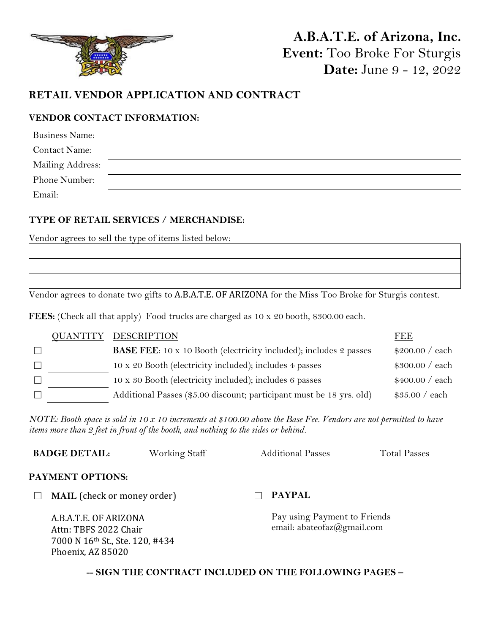

# **A.B.A.T.E. of Arizona, Inc. Event:** Too Broke For Sturgis **Date:** June 9 - 12, 2022

# **RETAIL VENDOR APPLICATION AND CONTRACT**

## **VENDOR CONTACT INFORMATION:**

| <b>Business Name:</b> |  |
|-----------------------|--|
| <b>Contact Name:</b>  |  |
| Mailing Address:      |  |
| Phone Number:         |  |
| Email:                |  |

## **TYPE OF RETAIL SERVICES / MERCHANDISE:**

Vendor agrees to sell the type of items listed below:

Vendor agrees to donate two gifts to A.B.A.T.E. OF ARIZONA for the Miss Too Broke for Sturgis contest.

**FEES:** (Check all that apply) Food trucks are charged as 10 x 20 booth, \$300.00 each.

|  | <b>OUANTITY DESCRIPTION</b>                                              | FEE             |
|--|--------------------------------------------------------------------------|-----------------|
|  | <b>BASE FEE:</b> 10 x 10 Booth (electricity included); includes 2 passes | \$200.00 / each |
|  | 10 x 20 Booth (electricity included); includes 4 passes                  | \$300.00 / each |
|  | 10 x 30 Booth (electricity included); includes 6 passes                  | \$400.00 / each |
|  | Additional Passes (\$5.00 discount; participant must be 18 yrs. old)     | \$35.00 / each  |

*NOTE: Booth space is sold in 10 x 10 increments at \$100.00 above the Base Fee. Vendors are not permitted to have items more than 2 feet in front of the booth, and nothing to the sides or behind.*

|                                                                                                        | <b>BADGE DETAIL:</b>               | Working Staff | <b>Additional Passes</b>                                   | <b>Total Passes</b> |
|--------------------------------------------------------------------------------------------------------|------------------------------------|---------------|------------------------------------------------------------|---------------------|
|                                                                                                        | PAYMENT OPTIONS:                   |               |                                                            |                     |
|                                                                                                        | <b>MAIL</b> (check or money order) |               | <b>PAYPAL</b>                                              |                     |
| A.B.A.T.E. OF ARIZONA<br>Attn: TBFS 2022 Chair<br>7000 N 16th St., Ste. 120, #434<br>Phoenix, AZ 85020 |                                    |               | Pay using Payment to Friends<br>email: abateofaz@gmail.com |                     |
|                                                                                                        | $\alpha$                           |               |                                                            |                     |

**-- SIGN THE CONTRACT INCLUDED ON THE FOLLOWING PAGES –**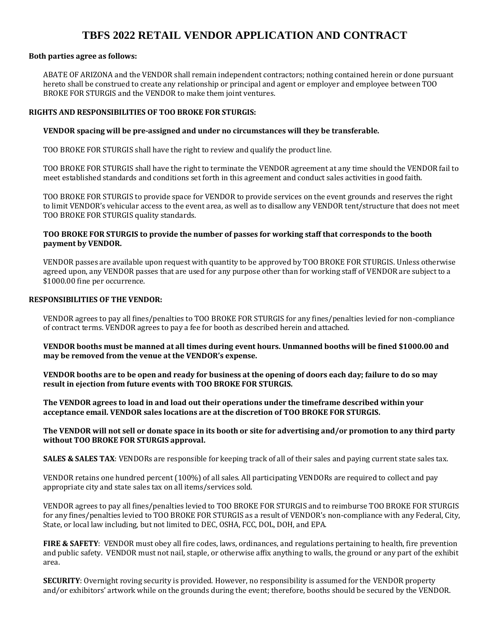# **TBFS 2022 RETAIL VENDOR APPLICATION AND CONTRACT**

#### **Both parties agree as follows:**

ABATE OF ARIZONA and the VENDOR shall remain independent contractors; nothing contained herein or done pursuant hereto shall be construed to create any relationship or principal and agent or employer and employee between TOO BROKE FOR STURGIS and the VENDOR to make them joint ventures.

#### **RIGHTS AND RESPONSIBILITIES OF TOO BROKE FOR STURGIS:**

#### **VENDOR spacing will be pre-assigned and under no circumstances will they be transferable.**

TOO BROKE FOR STURGIS shall have the right to review and qualify the product line.

TOO BROKE FOR STURGIS shall have the right to terminate the VENDOR agreement at any time should the VENDOR fail to meet established standards and conditions set forth in this agreement and conduct sales activities in good faith.

TOO BROKE FOR STURGIS to provide space for VENDOR to provide services on the event grounds and reserves the right to limit VENDOR's vehicular access to the event area, as well as to disallow any VENDOR tent/structure that does not meet TOO BROKE FOR STURGIS quality standards.

#### **TOO BROKE FOR STURGIS to provide the number of passes for working staff that corresponds to the booth payment by VENDOR.**

VENDOR passes are available upon request with quantity to be approved by TOO BROKE FOR STURGIS. Unless otherwise agreed upon, any VENDOR passes that are used for any purpose other than for working staff of VENDOR are subject to a \$1000.00 fine per occurrence.

#### **RESPONSIBILITIES OF THE VENDOR:**

VENDOR agrees to pay all fines/penalties to TOO BROKE FOR STURGIS for any fines/penalties levied for non-compliance of contract terms. VENDOR agrees to pay a fee for booth as described herein and attached.

**VENDOR booths must be manned at all times during event hours. Unmanned booths will be fined \$1000.00 and may be removed from the venue at the VENDOR's expense.**

**VENDOR booths are to be open and ready for business at the opening of doors each day; failure to do so may result in ejection from future events with TOO BROKE FOR STURGIS.**

**The VENDOR agrees to load in and load out their operations under the timeframe described within your acceptance email. VENDOR sales locations are at the discretion of TOO BROKE FOR STURGIS.**

#### **The VENDOR will not sell or donate space in its booth or site for advertising and/or promotion to any third party without TOO BROKE FOR STURGIS approval.**

**SALES & SALES TAX:** VENDORs are responsible for keeping track of all of their sales and paying current state sales tax.

VENDOR retains one hundred percent (100%) of all sales. All participating VENDORs are required to collect and pay appropriate city and state sales tax on all items/services sold.

VENDOR agrees to pay all fines/penalties levied to TOO BROKE FOR STURGIS and to reimburse TOO BROKE FOR STURGIS for any fines/penalties levied to TOO BROKE FOR STURGIS as a result of VENDOR's non-compliance with any Federal, City, State, or local law including, but not limited to DEC, OSHA, FCC, DOL, DOH, and EPA.

**FIRE & SAFETY**: VENDOR must obey all fire codes, laws, ordinances, and regulations pertaining to health, fire prevention and public safety. VENDOR must not nail, staple, or otherwise affix anything to walls, the ground or any part of the exhibit area.

**SECURITY**: Overnight roving security is provided. However, no responsibility is assumed for the VENDOR property and/or exhibitors' artwork while on the grounds during the event; therefore, booths should be secured by the VENDOR.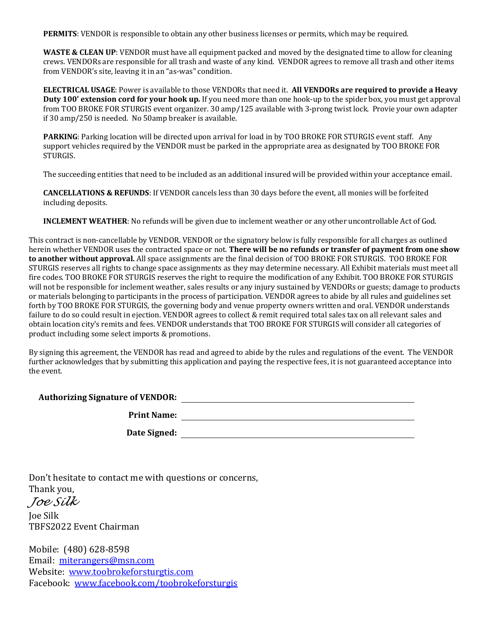**PERMITS**: VENDOR is responsible to obtain any other business licenses or permits, which may be required.

**WASTE & CLEAN UP**: VENDOR must have all equipment packed and moved by the designated time to allow for cleaning crews. VENDORs are responsible for all trash and waste of any kind. VENDOR agrees to remove all trash and other items from VENDOR's site, leaving it in an "as-was" condition.

**ELECTRICAL USAGE**: Power is available to those VENDORs that need it. **All VENDORs are required to provide a Heavy Duty 100' extension cord for your hook up.** If you need more than one hook-up to the spider box, you must get approval from TOO BROKE FOR STURGIS event organizer. 30 amp/125 available with 3-prong twist lock. Provie your own adapter if 30 amp/250 is needed. No 50amp breaker is available.

**PARKING**: Parking location will be directed upon arrival for load in by TOO BROKE FOR STURGIS event staff. Any support vehicles required by the VENDOR must be parked in the appropriate area as designated by TOO BROKE FOR STURGIS.

The succeeding entities that need to be included as an additional insured will be provided within your acceptance email.

**CANCELLATIONS & REFUNDS**: If VENDOR cancels less than 30 days before the event, all monies will be forfeited including deposits.

**INCLEMENT WEATHER**: No refunds will be given due to inclement weather or any other uncontrollable Act of God.

This contract is non-cancellable by VENDOR. VENDOR or the signatory below is fully responsible for all charges as outlined herein whether VENDOR uses the contracted space or not. **There will be no refunds or transfer of payment from one show to another without approval.** All space assignments are the final decision of TOO BROKE FOR STURGIS. TOO BROKE FOR STURGIS reserves all rights to change space assignments as they may determine necessary. All Exhibit materials must meet all fire codes. TOO BROKE FOR STURGIS reserves the right to require the modification of any Exhibit. TOO BROKE FOR STURGIS will not be responsible for inclement weather, sales results or any injury sustained by VENDORs or guests; damage to products or materials belonging to participants in the process of participation. VENDOR agrees to abide by all rules and guidelines set forth by TOO BROKE FOR STURGIS, the governing body and venue property owners written and oral. VENDOR understands failure to do so could result in ejection. VENDOR agrees to collect & remit required total sales tax on all relevant sales and obtain location city's remits and fees. VENDOR understands that TOO BROKE FOR STURGIS will consider all categories of product including some select imports & promotions.

By signing this agreement, the VENDOR has read and agreed to abide by the rules and regulations of the event. The VENDOR further acknowledges that by submitting this application and paying the respective fees, it is not guaranteed acceptance into the event.

**Authorizing Signature of VENDOR:**

**Print Name:**

**Date Signed:**

Don't hesitate to contact me with questions or concerns, Thank you,

*Joe Silk*

Joe Silk TBFS2022 Event Chairman

Mobile: (480) 628-8598 Email: [miterangers@msn.com](mailto:miterangers@msn.com) Website: [www.toobrokeforsturgtis.com](http://www.toobrokeforsturgtis.com/) Facebook: [www.facebook.com/toobrokeforsturgis](http://www.facebook.com/toobrokeforsturgis)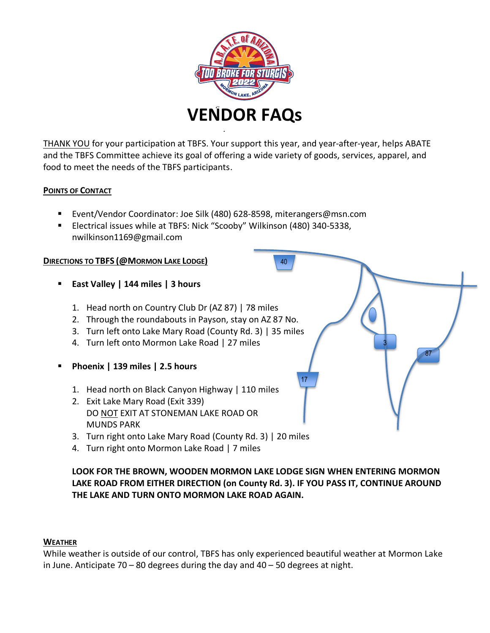

THANK YOU for your participation at TBFS. Your support this year, and year-after-year, helps ABATE and the TBFS Committee achieve its goal of offering a wide variety of goods, services, apparel, and food to meet the needs of the TBFS participants.

40

17

## **POINTS OF CONTACT**

- Event/Vendor Coordinator: Joe Silk (480) 628-8598, miterangers@msn.com
- Electrical issues while at TBFS: Nick "Scooby" Wilkinson (480) 340-5338, nwilkinson1169@gmail.com

### **DIRECTIONS TO TBFS (@MORMON LAKE LODGE)**

- **East Valley | 144 miles | 3 hours**
	- 1. Head north on Country Club Dr (AZ 87) | 78 miles
	- 2. Through the roundabouts in Payson, stay on AZ 87 No.
	- 3. Turn left onto Lake Mary Road (County Rd. 3) | 35 miles
	- 4. Turn left onto Mormon Lake Road | 27 miles
- **Phoenix | 139 miles | 2.5 hours**
	- 1. Head north on Black Canyon Highway | 110 miles
	- 2. Exit Lake Mary Road (Exit 339) DO NOT EXIT AT STONEMAN LAKE ROAD OR MUNDS PARK
	- 3. Turn right onto Lake Mary Road (County Rd. 3) | 20 miles
	- 4. Turn right onto Mormon Lake Road | 7 miles

## **LOOK FOR THE BROWN, WOODEN MORMON LAKE LODGE SIGN WHEN ENTERING MORMON LAKE ROAD FROM EITHER DIRECTION (on County Rd. 3). IF YOU PASS IT, CONTINUE AROUND THE LAKE AND TURN ONTO MORMON LAKE ROAD AGAIN.**

3

87

#### **WEATHER**

While weather is outside of our control, TBFS has only experienced beautiful weather at Mormon Lake in June. Anticipate 70 – 80 degrees during the day and 40 – 50 degrees at night.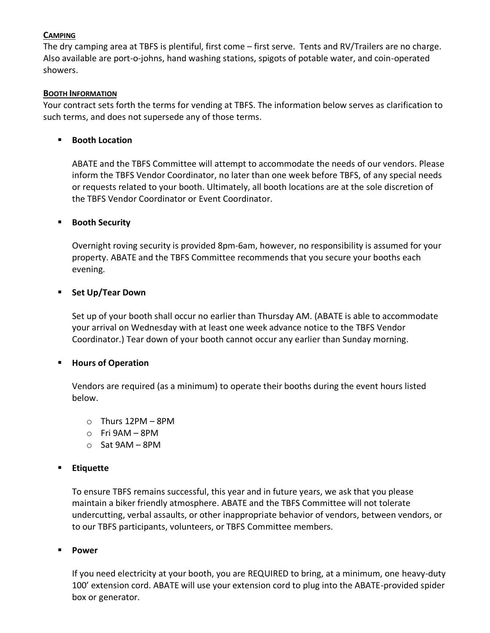## **CAMPING**

The dry camping area at TBFS is plentiful, first come – first serve. Tents and RV/Trailers are no charge. Also available are port-o-johns, hand washing stations, spigots of potable water, and coin-operated showers.

#### **BOOTH INFORMATION**

Your contract sets forth the terms for vending at TBFS. The information below serves as clarification to such terms, and does not supersede any of those terms.

### ▪ **Booth Location**

ABATE and the TBFS Committee will attempt to accommodate the needs of our vendors. Please inform the TBFS Vendor Coordinator, no later than one week before TBFS, of any special needs or requests related to your booth. Ultimately, all booth locations are at the sole discretion of the TBFS Vendor Coordinator or Event Coordinator.

#### ▪ **Booth Security**

Overnight roving security is provided 8pm-6am, however, no responsibility is assumed for your property. ABATE and the TBFS Committee recommends that you secure your booths each evening.

#### ▪ **Set Up/Tear Down**

Set up of your booth shall occur no earlier than Thursday AM. (ABATE is able to accommodate your arrival on Wednesday with at least one week advance notice to the TBFS Vendor Coordinator.) Tear down of your booth cannot occur any earlier than Sunday morning.

#### ▪ **Hours of Operation**

Vendors are required (as a minimum) to operate their booths during the event hours listed below.

- o Thurs 12PM 8PM
- o Fri 9AM 8PM
- o Sat 9AM 8PM

## ▪ **Etiquette**

To ensure TBFS remains successful, this year and in future years, we ask that you please maintain a biker friendly atmosphere. ABATE and the TBFS Committee will not tolerate undercutting, verbal assaults, or other inappropriate behavior of vendors, between vendors, or to our TBFS participants, volunteers, or TBFS Committee members.

#### ▪ **Power**

If you need electricity at your booth, you are REQUIRED to bring, at a minimum, one heavy-duty 100' extension cord. ABATE will use your extension cord to plug into the ABATE-provided spider box or generator.